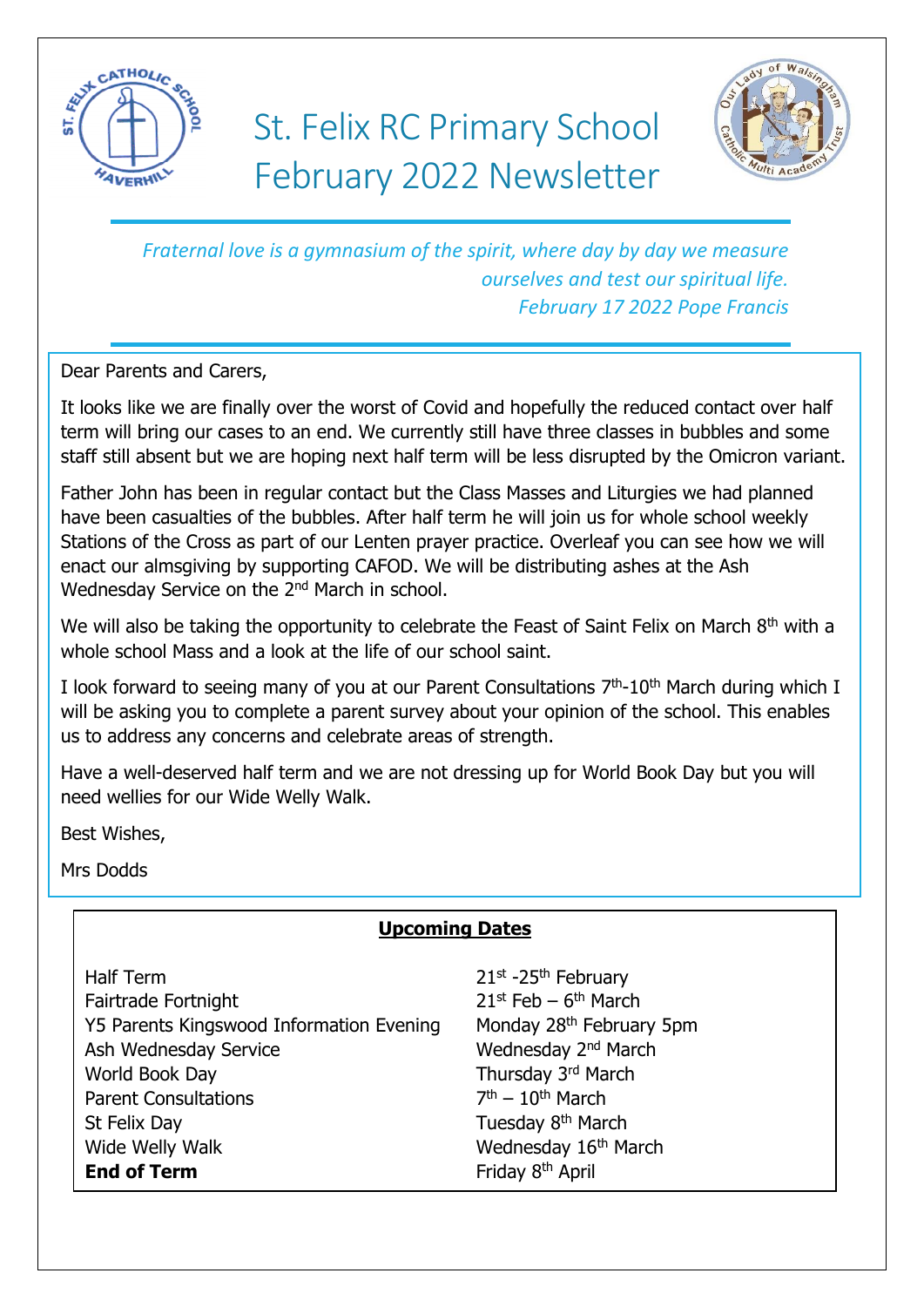

# St. Felix RC Primary School February 2022 Newsletter



*Fraternal love is a gymnasium of the spirit, where day by day we measure ourselves and test our spiritual life. February 17 2022 Pope Francis*

Dear Parents and Carers,

It looks like we are finally over the worst of Covid and hopefully the reduced contact over half term will bring our cases to an end. We currently still have three classes in bubbles and some staff still absent but we are hoping next half term will be less disrupted by the Omicron variant.

Father John has been in regular contact but the Class Masses and Liturgies we had planned have been casualties of the bubbles. After half term he will join us for whole school weekly Stations of the Cross as part of our Lenten prayer practice. Overleaf you can see how we will enact our almsgiving by supporting CAFOD. We will be distributing ashes at the Ash Wednesday Service on the 2<sup>nd</sup> March in school.

We will also be taking the opportunity to celebrate the Feast of Saint Felix on March 8<sup>th</sup> with a whole school Mass and a look at the life of our school saint.

I look forward to seeing many of you at our Parent Consultations  $7<sup>th</sup>$ -10<sup>th</sup> March during which I will be asking you to complete a parent survey about your opinion of the school. This enables us to address any concerns and celebrate areas of strength.

Have a well-deserved half term and we are not dressing up for World Book Day but you will need wellies for our Wide Welly Walk.

Best Wishes,

Mrs Dodds

# **Upcoming Dates**

Half Term 21st -25<sup>th</sup> February Fairtrade Fortnight Y5 Parents Kingswood Information Evening Monday 28<sup>th</sup> February 5pm Ash Wednesday Service Wednesday 2<sup>nd</sup> March World Book Day **Thursday 3rd March** Parent Consultations 7 St Felix Day **Tuesday 8th March** Wide Welly Walk Wednesday 16<sup>th</sup> March **End of Term** Friday 8<sup>th</sup> April

 $21^{st}$  Feb – 6<sup>th</sup> March  $7<sup>th</sup> - 10<sup>th</sup>$  March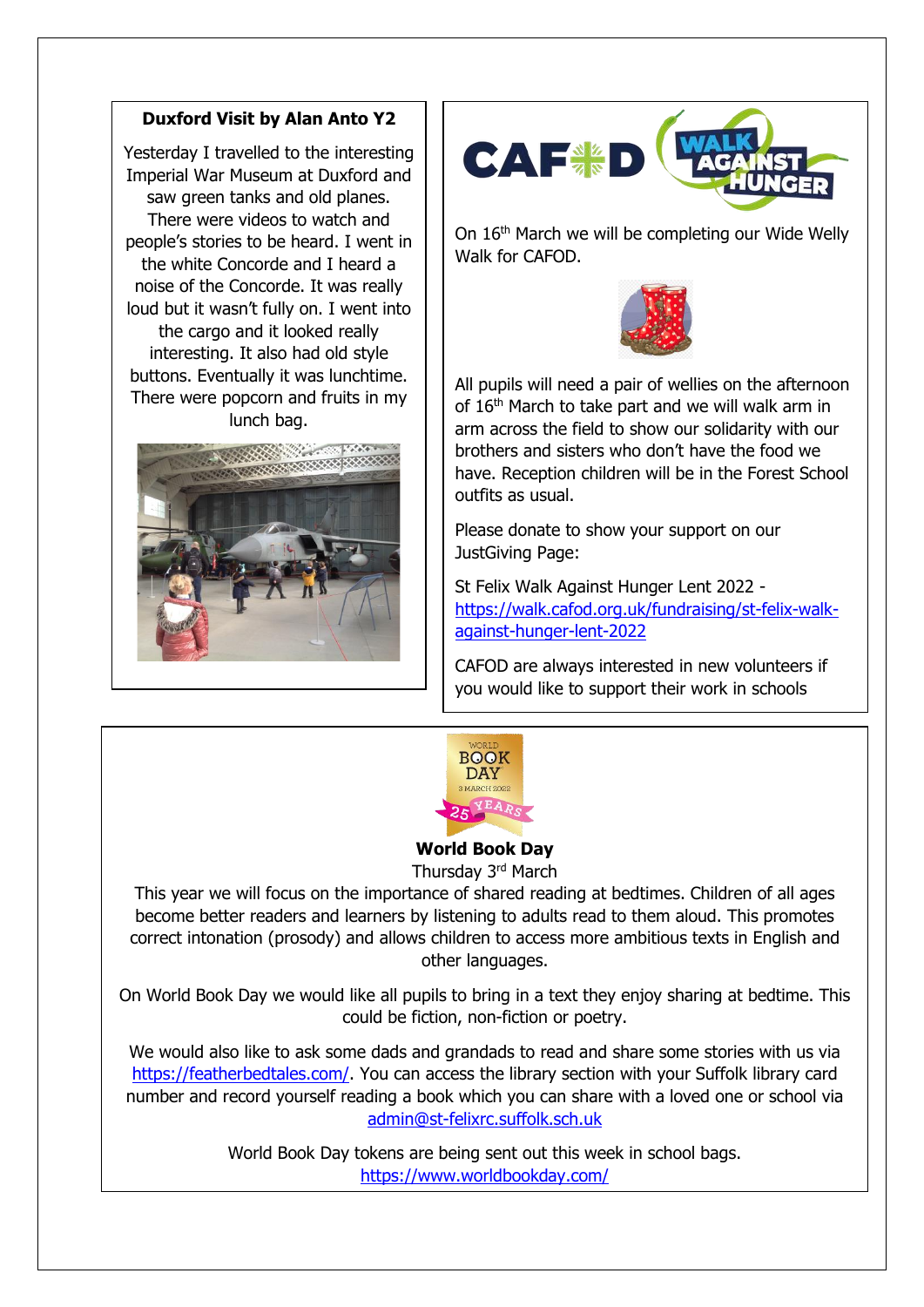#### **Duxford Visit by Alan Anto Y2**

Yesterday I travelled to the interesting Imperial War Museum at Duxford and saw green tanks and old planes. There were videos to watch and people's stories to be heard. I went in the white Concorde and I heard a noise of the Concorde. It was really loud but it wasn't fully on. I went into the cargo and it looked really interesting. It also had old style buttons. Eventually it was lunchtime. There were popcorn and fruits in my lunch bag.





On 16<sup>th</sup> March we will be completing our Wide Welly Walk for CAFOD.



All pupils will need a pair of wellies on the afternoon of 16<sup>th</sup> March to take part and we will walk arm in arm across the field to show our solidarity with our brothers and sisters who don't have the food we have. Reception children will be in the Forest School outfits as usual.

Please donate to show your support on our JustGiving Page:

St Felix Walk Against Hunger Lent 2022 [https://walk.cafod.org.uk/fundraising/st-felix-walk](https://walk.cafod.org.uk/fundraising/st-felix-walk-against-hunger-lent-2022)[against-hunger-lent-2022](https://walk.cafod.org.uk/fundraising/st-felix-walk-against-hunger-lent-2022) 

CAFOD are always interested in new volunteers if you would like to support their work in schools



## **World Book Day**

Thursday 3rd March

This year we will focus on the importance of shared reading at bedtimes. Children of all ages become better readers and learners by listening to adults read to them aloud. This promotes correct intonation (prosody) and allows children to access more ambitious texts in English and other languages.

On World Book Day we would like all pupils to bring in a text they enjoy sharing at bedtime. This could be fiction, non-fiction or poetry.

We would also like to ask some dads and grandads to read and share some stories with us via [https://featherbedtales.com/.](https://featherbedtales.com/) You can access the library section with your Suffolk library card number and record yourself reading a book which you can share with a loved one or school via [admin@st-felixrc.suffolk.sch.uk](mailto:admin@st-felixrc.suffolk.sch.uk)

> World Book Day tokens are being sent out this week in school bags. <https://www.worldbookday.com/>